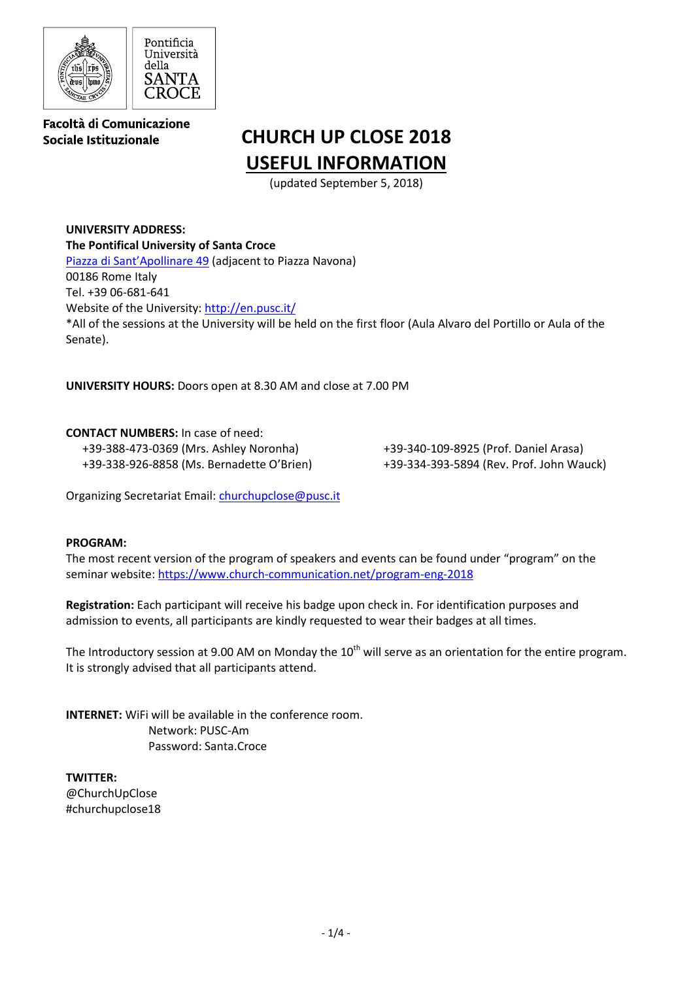

Facoltà di Comunicazione Sociale Istituzionale

# **CHURCH UP CLOSE 2018 USEFUL INFORMATION**

(updated September 5, 2018)

**UNIVERSITY ADDRESS: The Pontifical University of Santa Croce** Piazza di [Sant'Apollinare 49](https://goo.gl/maps/NwCTMUhKM5K2) (adjacent to Piazza Navona) 00186 Rome Italy Tel. +39 06-681-641 Website of the University:<http://en.pusc.it/> \*All of the sessions at the University will be held on the first floor (Aula Alvaro del Portillo or Aula of the Senate).

**UNIVERSITY HOURS:** Doors open at 8.30 AM and close at 7.00 PM

**CONTACT NUMBERS:** In case of need: +39-388-473-0369 (Mrs. Ashley Noronha) +39-338-926-8858 (Ms. Bernadette O'Brien)

+39-340-109-8925 (Prof. Daniel Arasa) +39-334-393-5894 (Rev. Prof. John Wauck)

Organizing Secretariat Email: [churchupclose@pusc.it](mailto:churchupclose@pusc.it)

#### **PROGRAM:**

The most recent version of the program of speakers and events can be found under "program" on the seminar website[: https://www.church-communication.net/program-eng-2018](https://www.church-communication.net/program-eng-2018)

**Registration:** Each participant will receive his badge upon check in. For identification purposes and admission to events, all participants are kindly requested to wear their badges at all times.

The Introductory session at 9.00 AM on Monday the  $10<sup>th</sup>$  will serve as an orientation for the entire program. It is strongly advised that all participants attend.

**INTERNET:** WiFi will be available in the conference room. Network: PUSC-Am Password: Santa.Croce

**TWITTER:**  @ChurchUpClose #churchupclose18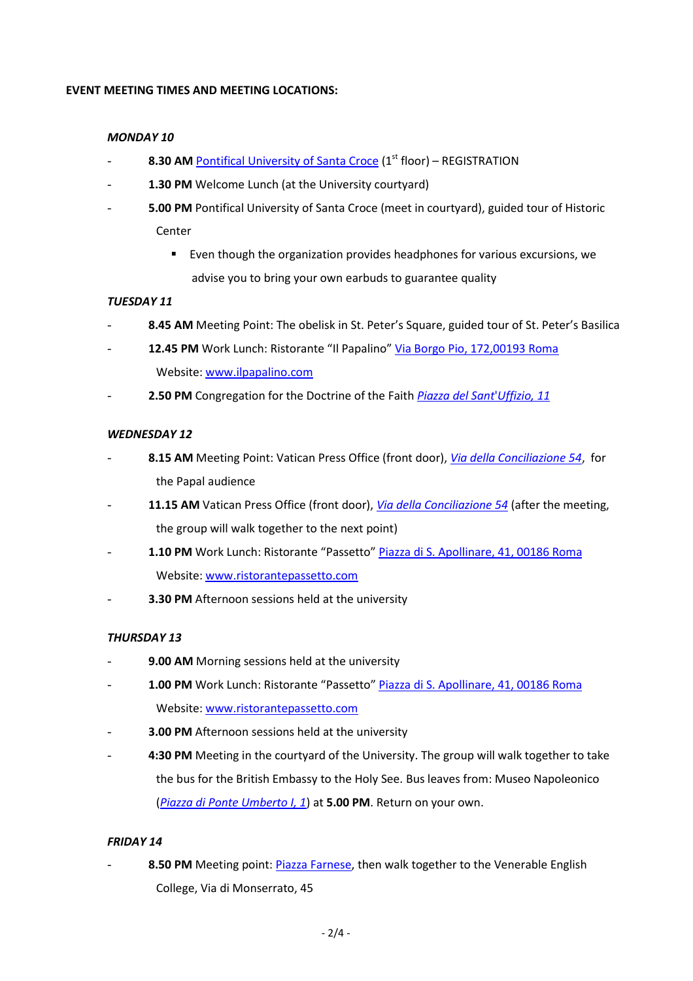### **EVENT MEETING TIMES AND MEETING LOCATIONS:**

#### *MONDAY 10*

- 8.30 AM [Pontifical University of Santa Croce](https://goo.gl/maps/NwCTMUhKM5K2) (1<sup>st</sup> floor) REGISTRATION
- 1.30 PM Welcome Lunch (at the University courtyard)
- **5.00 PM** Pontifical University of Santa Croce (meet in courtyard), guided tour of Historic Center
	- Even though the organization provides headphones for various excursions, we advise you to bring your own earbuds to guarantee quality

## *TUESDAY 11*

- 8.45 AM Meeting Point: The obelisk in St. Peter's Square, guided tour of St. Peter's Basilica
- 12.45 PM Work Lunch: Ristorante "Il Papalino" [Via Borgo Pio, 172,00193 Roma](https://maps.google.com/?q=Via+Borgo+Pio,+172++00193+Roma&entry=gmail&source=g) Website[: www.ilpapalino.com](http://www.ilpapalino.com/)
- **2.50 PM** Congregation for the Doctrine of the Faith *Piazza del Sant*'*[Uffizio, 11](https://goo.gl/maps/vHdLJNqbtN12)*

#### *WEDNESDAY 12*

- **8.15 AM** Meeting Point: Vatican Press Office (front door), *[Via della Conciliazione 54](https://goo.gl/maps/7s8eHzsCmQC2)*, for the Papal audience
- 11.15 AM Vatican Press Office (front door), *[Via della Conciliazione 54](https://goo.gl/maps/7s8eHzsCmQC2)* (after the meeting, the group will walk together to the next point)
- 1.10 PM Work Lunch: Ristorante "Passetto" [Piazza di S. Apollinare, 41, 00186 Roma](https://maps.google.com/?q=Piazza+di+S.+Apollinare,+41&entry=gmail&source=g) Website[: www.ristorantepassetto.com](http://www.ristorantepassetto.com/)
- **3.30 PM** Afternoon sessions held at the university

#### *THURSDAY 13*

- 9.00 AM Morning sessions held at the university
- 1.00 PM Work Lunch: Ristorante "Passetto" [Piazza di S. Apollinare, 41, 00186 Roma](https://maps.google.com/?q=Piazza+di+S.+Apollinare,+41&entry=gmail&source=g) Website[: www.ristorantepassetto.com](http://www.ristorantepassetto.com/)
- **3.00 PM** Afternoon sessions held at the university
- 4:30 PM Meeting in the courtyard of the University. The group will walk together to take the bus for the British Embassy to the Holy See. Bus leaves from: Museo Napoleonico (*[Piazza di Ponte Umberto I, 1](https://goo.gl/maps/Rb4vdMJh1ES2)*) at **5.00 PM**. Return on your own.

#### *FRIDAY 14*

8.50 PM Meeting point: *Piazza Farnese*, then walk together to the Venerable English College, Via di Monserrato, 45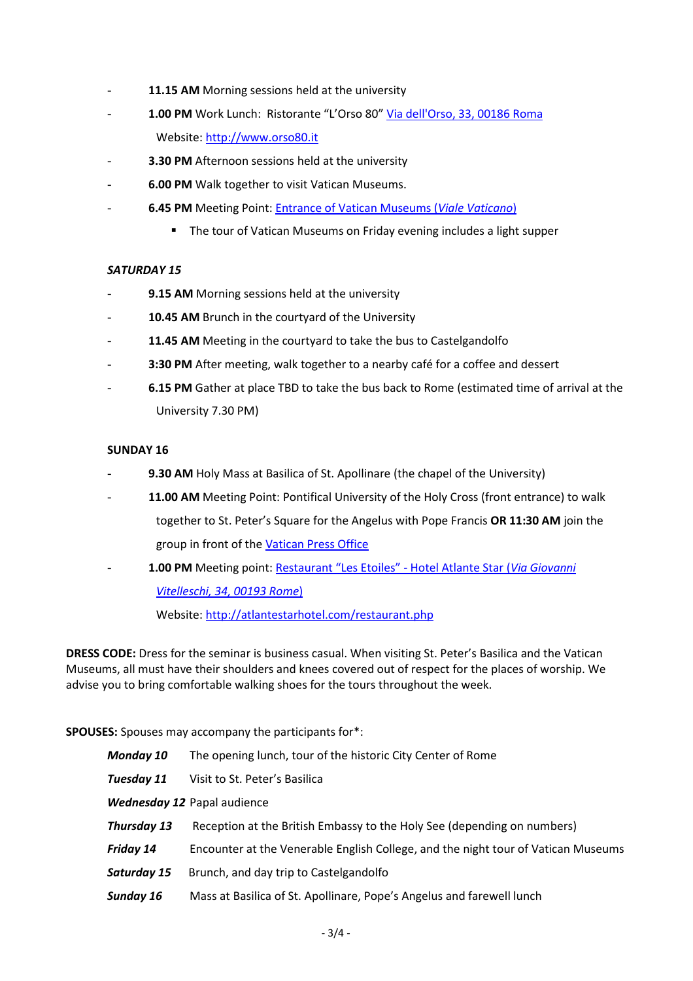- 11.15 AM Morning sessions held at the university
- 1.00 PM Work Lunch: Ristorante "L'Orso 80" [Via dell'Orso, 33, 00186 Roma](https://maps.google.com/?q=Via+dell%27Orso,+33+00186+Roma&entry=gmail&source=g) Website[: http://www.orso80.it](http://www.orso80.it/)
- **3.30 PM** Afternoon sessions held at the university
- **6.00 PM** Walk together to visit Vatican Museums.
- **6.45 PM** Meeting Point[: Entrance of Vatican Museums](https://goo.gl/maps/hTeE7KVrqLu) (*Viale Vaticano*)
	- **The tour of Vatican Museums on Friday evening includes a light supper**

## *SATURDAY 15*

- 9.15 AM Morning sessions held at the university
- 10.45 AM Brunch in the courtyard of the University
- 11.45 AM Meeting in the courtyard to take the bus to Castelgandolfo
- 3:30 PM After meeting, walk together to a nearby café for a coffee and dessert
- **6.15 PM** Gather at place TBD to take the bus back to Rome (estimated time of arrival at the University 7.30 PM)

#### **SUNDAY 16**

- 9.30 AM Holy Mass at Basilica of St. Apollinare (the chapel of the University)
- 11.00 AM Meeting Point: Pontifical University of the Holy Cross (front entrance) to walk together to St. Peter's Square for the Angelus with Pope Francis **OR 11:30 AM** join the group in front of the [Vatican Press Office](https://goo.gl/maps/7s8eHzsCmQC2)
- **1.00 PM** Meeting point: R[estaurant "Les Etoiles"](https://goo.gl/maps/9eNHDSVqx6H2) *-* Hotel Atlante Star (*Via Giovanni [Vitelleschi, 34, 00193 Rome](https://goo.gl/maps/9eNHDSVqx6H2)*) Website[: http://atlantestarhotel.com/restaurant.php](http://atlantestarhotel.com/restaurant.php)

**DRESS CODE:** Dress for the seminar is business casual. When visiting St. Peter's Basilica and the Vatican Museums, all must have their shoulders and knees covered out of respect for the places of worship. We advise you to bring comfortable walking shoes for the tours throughout the week.

**SPOUSES:** Spouses may accompany the participants for\*:

| Monday 10   | The opening lunch, tour of the historic City Center of Rome                       |
|-------------|-----------------------------------------------------------------------------------|
| Tuesday 11  | Visit to St. Peter's Basilica                                                     |
|             | Wednesday 12 Papal audience                                                       |
| Thursday 13 | Reception at the British Embassy to the Holy See (depending on numbers)           |
| Friday 14   | Encounter at the Venerable English College, and the night tour of Vatican Museums |
| Saturday 15 | Brunch, and day trip to Castelgandolfo                                            |
| Sunday 16   | Mass at Basilica of St. Apollinare, Pope's Angelus and farewell lunch             |